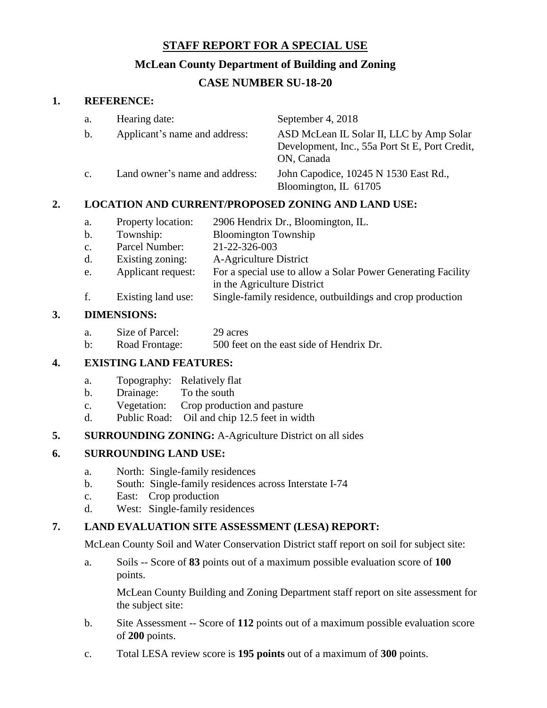# **STAFF REPORT FOR A SPECIAL USE**

# **McLean County Department of Building and Zoning**

# **CASE NUMBER SU-18-20**

## **1. REFERENCE:**

| a.             | Hearing date:                  | September 4, 2018                                                                                        |
|----------------|--------------------------------|----------------------------------------------------------------------------------------------------------|
| b.             | Applicant's name and address:  | ASD McLean IL Solar II, LLC by Amp Solar<br>Development, Inc., 55a Port St E, Port Credit,<br>ON, Canada |
| $\mathbf{c}$ . | Land owner's name and address: | John Capodice, 10245 N 1530 East Rd.,<br>Bloomington, IL 61705                                           |

# **2. LOCATION AND CURRENT/PROPOSED ZONING AND LAND USE:**

- a. Property location: 2906 Hendrix Dr., Bloomington, IL.
- b. Township: Bloomington Township
- c. Parcel Number: 21-22-326-003
- d. Existing zoning: A-Agriculture District
- e. Applicant request: For a special use to allow a Solar Power Generating Facility
- in the Agriculture District
- f. Existing land use: Single-family residence, outbuildings and crop production

### **3. DIMENSIONS:**

- a. Size of Parcel: 29 acres
- b: Road Frontage: 500 feet on the east side of Hendrix Dr.

### **4. EXISTING LAND FEATURES:**

- a. Topography: Relatively flat
- b. Drainage: To the south
- c. Vegetation: Crop production and pasture
- d. Public Road: Oil and chip 12.5 feet in width

### **5. SURROUNDING ZONING:** A-Agriculture District on all sides

## **6. SURROUNDING LAND USE:**

- a. North: Single-family residences
- b. South: Single-family residences across Interstate I-74
- c. East: Crop production
- d. West: Single-family residences

### **7. LAND EVALUATION SITE ASSESSMENT (LESA) REPORT:**

McLean County Soil and Water Conservation District staff report on soil for subject site:

a. Soils -- Score of **83** points out of a maximum possible evaluation score of **100** points.

McLean County Building and Zoning Department staff report on site assessment for the subject site:

- b. Site Assessment -- Score of **112** points out of a maximum possible evaluation score of **200** points.
- c. Total LESA review score is **195 points** out of a maximum of **300** points.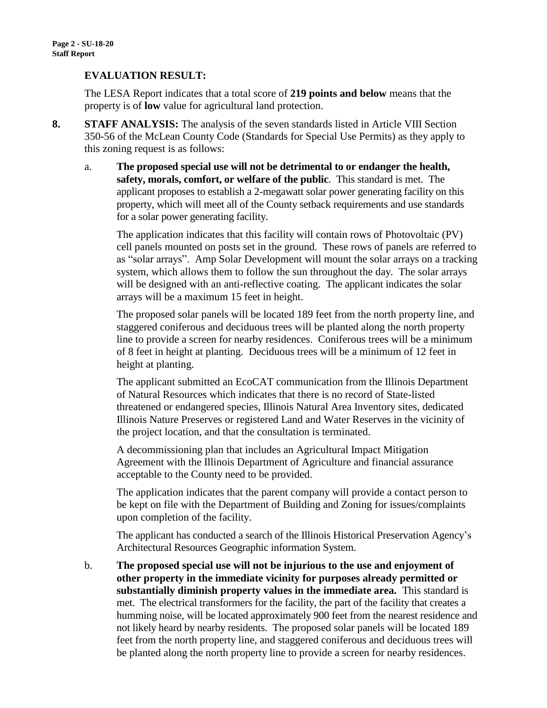## **EVALUATION RESULT:**

The LESA Report indicates that a total score of **219 points and below** means that the property is of **low** value for agricultural land protection.

- **8. STAFF ANALYSIS:** The analysis of the seven standards listed in Article VIII Section 350-56 of the McLean County Code (Standards for Special Use Permits) as they apply to this zoning request is as follows:
	- a. **The proposed special use will not be detrimental to or endanger the health, safety, morals, comfort, or welfare of the public**. This standard is met. The applicant proposes to establish a 2-megawatt solar power generating facility on this property, which will meet all of the County setback requirements and use standards for a solar power generating facility.

The application indicates that this facility will contain rows of Photovoltaic (PV) cell panels mounted on posts set in the ground. These rows of panels are referred to as "solar arrays". Amp Solar Development will mount the solar arrays on a tracking system, which allows them to follow the sun throughout the day. The solar arrays will be designed with an anti-reflective coating. The applicant indicates the solar arrays will be a maximum 15 feet in height.

The proposed solar panels will be located 189 feet from the north property line, and staggered coniferous and deciduous trees will be planted along the north property line to provide a screen for nearby residences. Coniferous trees will be a minimum of 8 feet in height at planting. Deciduous trees will be a minimum of 12 feet in height at planting.

The applicant submitted an EcoCAT communication from the Illinois Department of Natural Resources which indicates that there is no record of State-listed threatened or endangered species, Illinois Natural Area Inventory sites, dedicated Illinois Nature Preserves or registered Land and Water Reserves in the vicinity of the project location, and that the consultation is terminated.

A decommissioning plan that includes an Agricultural Impact Mitigation Agreement with the Illinois Department of Agriculture and financial assurance acceptable to the County need to be provided.

The application indicates that the parent company will provide a contact person to be kept on file with the Department of Building and Zoning for issues/complaints upon completion of the facility.

The applicant has conducted a search of the Illinois Historical Preservation Agency's Architectural Resources Geographic information System.

b. **The proposed special use will not be injurious to the use and enjoyment of other property in the immediate vicinity for purposes already permitted or substantially diminish property values in the immediate area.** This standard is met. The electrical transformers for the facility, the part of the facility that creates a humming noise, will be located approximately 900 feet from the nearest residence and not likely heard by nearby residents. The proposed solar panels will be located 189 feet from the north property line, and staggered coniferous and deciduous trees will be planted along the north property line to provide a screen for nearby residences.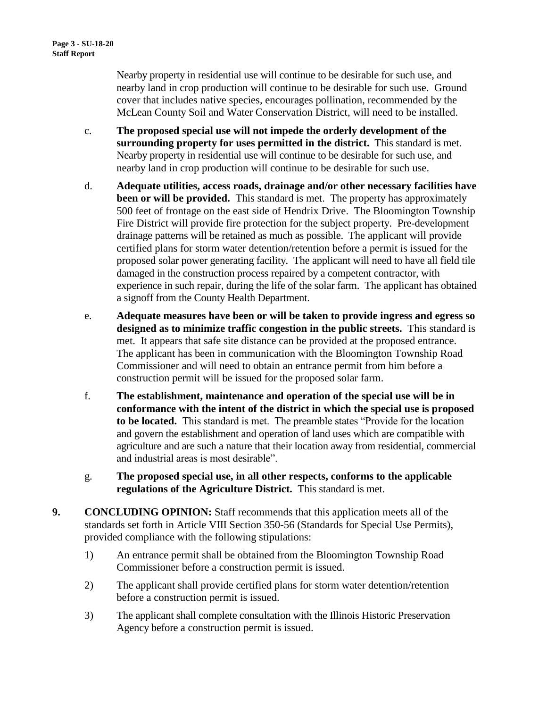Nearby property in residential use will continue to be desirable for such use, and nearby land in crop production will continue to be desirable for such use. Ground cover that includes native species, encourages pollination, recommended by the McLean County Soil and Water Conservation District, will need to be installed.

- c. **The proposed special use will not impede the orderly development of the surrounding property for uses permitted in the district.** This standard is met. Nearby property in residential use will continue to be desirable for such use, and nearby land in crop production will continue to be desirable for such use.
- d. **Adequate utilities, access roads, drainage and/or other necessary facilities have been or will be provided.** This standard is met. The property has approximately 500 feet of frontage on the east side of Hendrix Drive. The Bloomington Township Fire District will provide fire protection for the subject property. Pre-development drainage patterns will be retained as much as possible. The applicant will provide certified plans for storm water detention/retention before a permit is issued for the proposed solar power generating facility. The applicant will need to have all field tile damaged in the construction process repaired by a competent contractor, with experience in such repair, during the life of the solar farm. The applicant has obtained a signoff from the County Health Department.
- e. **Adequate measures have been or will be taken to provide ingress and egress so designed as to minimize traffic congestion in the public streets.** This standard is met. It appears that safe site distance can be provided at the proposed entrance. The applicant has been in communication with the Bloomington Township Road Commissioner and will need to obtain an entrance permit from him before a construction permit will be issued for the proposed solar farm.
- f. **The establishment, maintenance and operation of the special use will be in conformance with the intent of the district in which the special use is proposed to be located.** This standard is met. The preamble states "Provide for the location and govern the establishment and operation of land uses which are compatible with agriculture and are such a nature that their location away from residential, commercial and industrial areas is most desirable".
- g. **The proposed special use, in all other respects, conforms to the applicable regulations of the Agriculture District.** This standard is met.
- **9. CONCLUDING OPINION:** Staff recommends that this application meets all of the standards set forth in Article VIII Section 350-56 (Standards for Special Use Permits), provided compliance with the following stipulations:
	- 1) An entrance permit shall be obtained from the Bloomington Township Road Commissioner before a construction permit is issued.
	- 2) The applicant shall provide certified plans for storm water detention/retention before a construction permit is issued.
	- 3) The applicant shall complete consultation with the Illinois Historic Preservation Agency before a construction permit is issued.